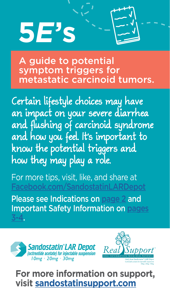# **5E's**

A guide to potential symptom triggers for metastatic carcinoid tumors.

Certain lifestyle choices may have an impact on your severe diarrhea and flushing of carcinoid syndrome and how you feel. It's important to know the potential triggers and how they may play a role.

For more tips, visit, like, and share at

Please see Indications on [page 2](#page-1-0) and Important Safety Information on [pages](#page-2-0) [3-4.](#page-2-0)





**For more information on support, visit [sandostatinsupport.com](http://sandostatinsupport.com)**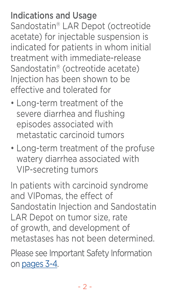#### <span id="page-1-0"></span>Indications and Usage

Sandostatin® LAR Depot (octreotide acetate) for injectable suspension is indicated for patients in whom initial treatment with immediate-release Sandostatin® (octreotide acetate) Injection has been shown to be effective and tolerated for

- Long-term treatment of the severe diarrhea and flushing episodes associated with metastatic carcinoid tumors
- Long-term treatment of the profuse watery diarrhea associated with VIP-secreting tumors

In patients with carcinoid syndrome and VIPomas, the effect of Sandostatin Injection and Sandostatin LAR Depot on tumor size, rate of growth, and development of metastases has not been determined.

Please see Important Safety Information on [pages 3-4.](#page-2-0)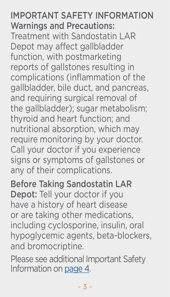#### <span id="page-2-0"></span>IMPORTANT SAFETY INFORMATION Warnings and Precautions: Treatment with Sandostatin LAR Depot may affect gallbladder function, with postmarketing reports of gallstones resulting in complications (inflammation of the gallbladder, bile duct, and pancreas, and requiring surgical removal of the gallbladder); sugar metabolism; thyroid and heart function; and nutritional absorption, which may require monitoring by your doctor. Call your doctor if you experience signs or symptoms of gallstones or any of their complications.

Before Taking Sandostatin LAR Depot: Tell your doctor if you have a history of heart disease or are taking other medications, including cyclosporine, insulin, oral hypoglycemic agents, beta-blockers, and bromocriptine.

Please see additional Important Safety Information on [page 4.](#page-3-0)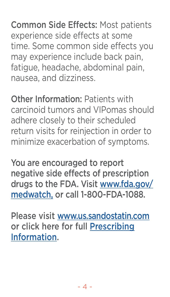<span id="page-3-0"></span>Common Side Effects: Most patients experience side effects at some time. Some common side effects you may experience include back pain, fatigue, headache, abdominal pain, nausea, and dizziness.

Other Information: Patients with carcinoid tumors and VIPomas should adhere closely to their scheduled return visits for reinjection in order to minimize exacerbation of symptoms.

You are encouraged to report negative side effects of prescription drugs to the FDA. Visit [www.fda.gov/](http://www.fda.gov/medwatch) [medwatch](http://www.fda.gov/medwatch), or call 1-800-FDA-1088.

Please visit [www.us.sandostatin.com](http://www.us.sandostatin.com) or click here for full [Prescribing](https://www.novartis.us/sites/www.novartis.us/files/sandostatin_lar.pdf) [Information](https://www.novartis.us/sites/www.novartis.us/files/sandostatin_lar.pdf).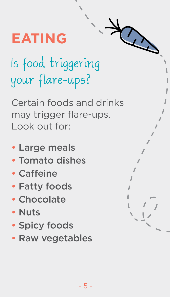### **EATING**

# Is food triggering your flare-ups?

Certain foods and drinks may trigger flare-ups. Look out for:

- Large meals
- Tomato dishes
- Caffeine
- Fatty foods
- Chocolate
- Nuts
- Spicy foods
- Raw vegetables

| $\frac{1}{l}$                                                                                                                                                                                                                                                                                                                                                                                                                                                 |
|---------------------------------------------------------------------------------------------------------------------------------------------------------------------------------------------------------------------------------------------------------------------------------------------------------------------------------------------------------------------------------------------------------------------------------------------------------------|
|                                                                                                                                                                                                                                                                                                                                                                                                                                                               |
|                                                                                                                                                                                                                                                                                                                                                                                                                                                               |
|                                                                                                                                                                                                                                                                                                                                                                                                                                                               |
| $\lambda$                                                                                                                                                                                                                                                                                                                                                                                                                                                     |
| Í                                                                                                                                                                                                                                                                                                                                                                                                                                                             |
|                                                                                                                                                                                                                                                                                                                                                                                                                                                               |
| $\ell$                                                                                                                                                                                                                                                                                                                                                                                                                                                        |
| $\sqrt{ }$                                                                                                                                                                                                                                                                                                                                                                                                                                                    |
|                                                                                                                                                                                                                                                                                                                                                                                                                                                               |
| $\cal I$                                                                                                                                                                                                                                                                                                                                                                                                                                                      |
|                                                                                                                                                                                                                                                                                                                                                                                                                                                               |
| $\begin{array}{c} \n\frac{1}{2} \\ \frac{1}{2} \\ \frac{1}{2} \\ \frac{1}{2} \\ \frac{1}{2} \\ \frac{1}{2} \\ \frac{1}{2} \\ \frac{1}{2} \\ \frac{1}{2} \\ \frac{1}{2} \\ \frac{1}{2} \\ \frac{1}{2} \\ \frac{1}{2} \\ \frac{1}{2} \\ \frac{1}{2} \\ \frac{1}{2} \\ \frac{1}{2} \\ \frac{1}{2} \\ \frac{1}{2} \\ \frac{1}{2} \\ \frac{1}{2} \\ \frac{1}{2} \\ \frac{1}{2} \\ \frac{1}{2} \\ \frac{1}{2} \\ \frac{1}{2} \\ \frac{$<br>$\overline{\phantom{a}}$ |
|                                                                                                                                                                                                                                                                                                                                                                                                                                                               |
| $\overline{\phantom{0}}$                                                                                                                                                                                                                                                                                                                                                                                                                                      |
| $\overline{\phantom{a}}$                                                                                                                                                                                                                                                                                                                                                                                                                                      |

R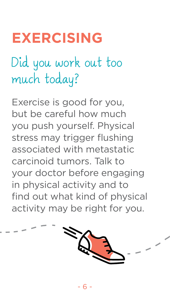#### **EXERCISING**

# Did you work out too much today?

Exercise is good for you, but be careful how much you push yourself. Physical stress may trigger flushing associated with metastatic carcinoid tumors. Talk to your doctor before engaging in physical activity and to find out what kind of physical activity may be right for you.

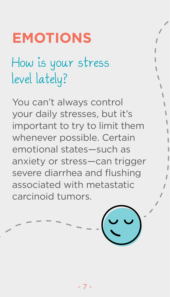#### **EMOTIONS**

# How is your stress level lately?

You can't always control your daily stresses, but it's important to try to limit them whenever possible. Certain emotional states—such as anxiety or stress—can trigger severe diarrhea and flushing associated with metastatic carcinoid tumors.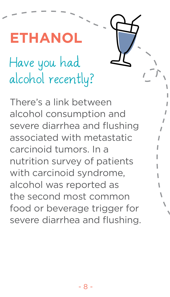Have you had alcohol recently? **ETHANOL**

There's a link between alcohol consumption and severe diarrhea and flushing associated with metastatic carcinoid tumors. In a nutrition survey of patients with carcinoid syndrome, alcohol was reported as the second most common food or beverage trigger for severe diarrhea and flushing.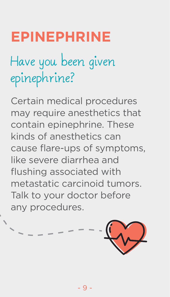#### **EPINEPHRINE**

# Have you been given epinephrine?

Certain medical procedures may require anesthetics that contain epinephrine. These kinds of anesthetics can cause flare-ups of symptoms, like severe diarrhea and flushing associated with metastatic carcinoid tumors. Talk to your doctor before any procedures.